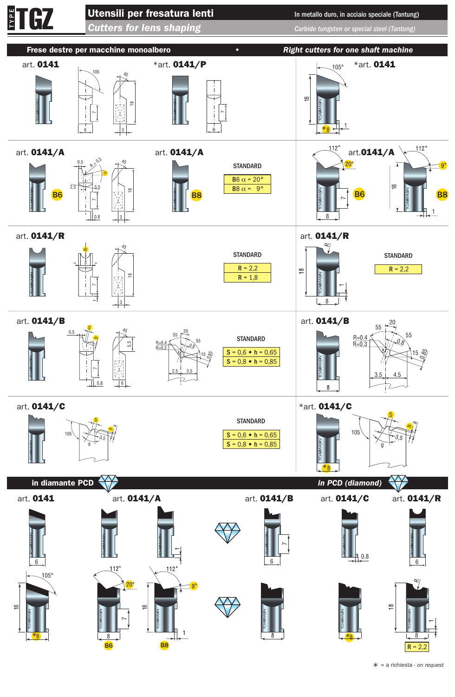